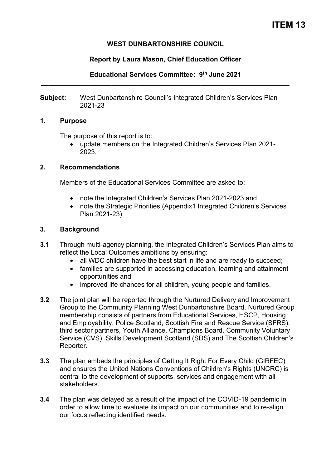#### **WEST DUNBARTONSHIRE COUNCIL**

#### **Report by Laura Mason, Chief Education Officer**

**Educational Services Committee: 9th June 2021 \_\_\_\_\_\_\_\_\_\_\_\_\_\_\_\_\_\_\_\_\_\_\_\_\_\_\_\_\_\_\_\_\_\_\_\_\_\_\_\_\_\_\_\_\_\_\_\_\_\_\_\_\_\_\_\_\_\_\_\_\_\_\_\_\_\_\_** 

**Subject:** West Dunbartonshire Council's Integrated Children's Services Plan 2021-23

#### **1. Purpose**

The purpose of this report is to:

• update members on the Integrated Children's Services Plan 2021- 2023.

#### **2. Recommendations**

Members of the Educational Services Committee are asked to:

- note the Integrated Children's Services Plan 2021-2023 and
- note the Strategic Priorities (Appendix1 Integrated Children's Services Plan 2021-23)

#### **3. Background**

- **3.1** Through multi-agency planning, the Integrated Children's Services Plan aims to reflect the Local Outcomes ambitions by ensuring:
	- all WDC children have the best start in life and are ready to succeed;
	- families are supported in accessing education, learning and attainment opportunities and
	- improved life chances for all children, young people and families.
- **3.2** The joint plan will be reported through the Nurtured Delivery and Improvement Group to the Community Planning West Dunbartonshire Board. Nurtured Group membership consists of partners from Educational Services, HSCP, Housing and Employability, Police Scotland, Scottish Fire and Rescue Service (SFRS), third sector partners, Youth Alliance, Champions Board, Community Voluntary Service (CVS), Skills Development Scotland (SDS) and The Scottish Children's Reporter.
- **3.3** The plan embeds the principles of Getting It Right For Every Child (GIRFEC) and ensures the United Nations Conventions of Children's Rights (UNCRC) is central to the development of supports, services and engagement with all stakeholders.
- **3.4** The plan was delayed as a result of the impact of the COVID-19 pandemic in order to allow time to evaluate its impact on our communities and to re-align our focus reflecting identified needs.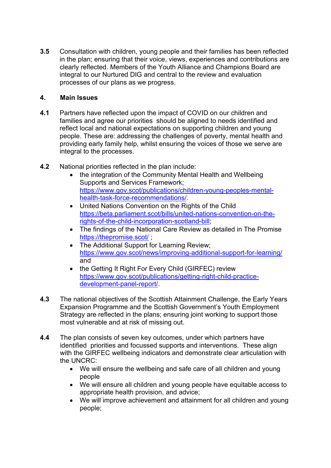**3.5** Consultation with children, young people and their families has been reflected in the plan; ensuring that their voice, views, experiences and contributions are clearly reflected. Members of the Youth Alliance and Champions Board are integral to our Nurtured DIG and central to the review and evaluation processes of our plans as we progress.

#### **4. Main Issues**

- **4.1** Partners have reflected upon the impact of COVID on our children and families and agree our priorities should be aligned to needs identified and reflect local and national expectations on supporting children and young people. These are: addressing the challenges of poverty, mental health and providing early family help, whilst ensuring the voices of those we serve are integral to the processes.
- **4.2** National priorities reflected in the plan include:
	- the integration of the Community Mental Health and Wellbeing Supports and Services Framework; [https://www.gov.scot/publications/children-young-peoples-mental](https://www.gov.scot/publications/children-young-peoples-mental-health-task-force-recommendations/)[health-task-force-recommendations/.](https://www.gov.scot/publications/children-young-peoples-mental-health-task-force-recommendations/)
	- United Nations Convention on the Rights of the Child [https://beta.parliament.scot/bills/united-nations-convention-on-the](https://beta.parliament.scot/bills/united-nations-convention-on-the-rights-of-the-child-incorporation-scotland-bill)[rights-of-the-child-incorporation-scotland-bill;](https://beta.parliament.scot/bills/united-nations-convention-on-the-rights-of-the-child-incorporation-scotland-bill)
	- The findings of the National Care Review as detailed in The Promise https://thepromise.scot/
	- The Additional Support for Learning Review; <https://www.gov.scot/news/improving-additional-support-for-learning/> and
	- the Getting It Right For Every Child (GIRFEC) review [https://www.gov.scot/publications/getting-right-child-practice](https://www.gov.scot/publications/getting-right-child-practice-development-panel-report/)[development-panel-report/.](https://www.gov.scot/publications/getting-right-child-practice-development-panel-report/)
- **4.3** The national objectives of the Scottish Attainment Challenge, the Early Years Expansion Programme and the Scottish Government's Youth Employment Strategy are reflected in the plans; ensuring joint working to support those most vulnerable and at risk of missing out.
- **4.4** The plan consists of seven key outcomes, under which partners have identified priorities and focussed supports and interventions. These align with the GIRFEC wellbeing indicators and demonstrate clear articulation with the UNCRC:
	- We will ensure the wellbeing and safe care of all children and young people
	- We will ensure all children and young people have equitable access to appropriate health provision, and advice;
	- We will improve achievement and attainment for all children and young people;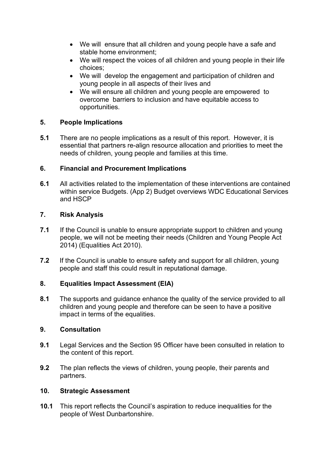- We will ensure that all children and young people have a safe and stable home environment;
- We will respect the voices of all children and young people in their life choices;
- We will develop the engagement and participation of children and young people in all aspects of their lives and
- We will ensure all children and young people are empowered to overcome barriers to inclusion and have equitable access to opportunities.

## **5. People Implications**

**5.1** There are no people implications as a result of this report. However, it is essential that partners re-align resource allocation and priorities to meet the needs of children, young people and families at this time.

## **6. Financial and Procurement Implications**

**6.1** All activities related to the implementation of these interventions are contained within service Budgets. (App 2) Budget overviews WDC Educational Services and HSCP

# **7. Risk Analysis**

- **7.1** If the Council is unable to ensure appropriate support to children and young people, we will not be meeting their needs (Children and Young People Act 2014) (Equalities Act 2010).
- **7.2** If the Council is unable to ensure safety and support for all children, young people and staff this could result in reputational damage.

## **8. Equalities Impact Assessment (EIA)**

**8.1** The supports and guidance enhance the quality of the service provided to all children and young people and therefore can be seen to have a positive impact in terms of the equalities.

## **9. Consultation**

- **9.1** Legal Services and the Section 95 Officer have been consulted in relation to the content of this report.
- **9.2** The plan reflects the views of children, young people, their parents and partners.

## **10. Strategic Assessment**

**10.1** This report reflects the Council's aspiration to reduce inequalities for the people of West Dunbartonshire.